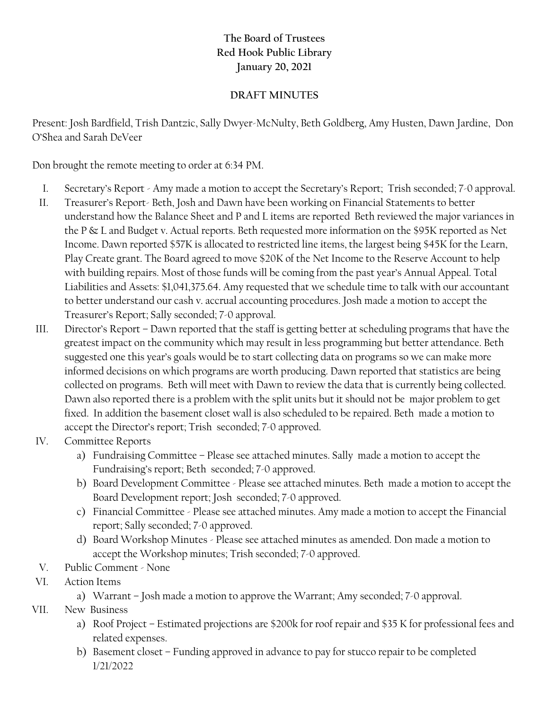## **The Board of Trustees Red Hook Public Library January 20, 2021**

## **DRAFT MINUTES**

Present: Josh Bardfield, Trish Dantzic, Sally Dwyer-McNulty, Beth Goldberg, Amy Husten, Dawn Jardine, Don O'Shea and Sarah DeVeer

Don brought the remote meeting to order at 6:34 PM.

- I. Secretary's Report Amy made a motion to accept the Secretary's Report; Trish seconded; 7-0 approval.
- II. Treasurer's Report- Beth, Josh and Dawn have been working on Financial Statements to better understand how the Balance Sheet and P and L items are reported Beth reviewed the major variances in the P & L and Budget v. Actual reports. Beth requested more information on the \$95K reported as Net Income. Dawn reported \$57K is allocated to restricted line items, the largest being \$45K for the Learn, Play Create grant. The Board agreed to move \$20K of the Net Income to the Reserve Account to help with building repairs. Most of those funds will be coming from the past year's Annual Appeal. Total Liabilities and Assets: \$1,041,375.64. Amy requested that we schedule time to talk with our accountant to better understand our cash v. accrual accounting procedures. Josh made a motion to accept the Treasurer's Report; Sally seconded; 7-0 approval.
- III. Director's Report Dawn reported that the staff is getting better at scheduling programs that have the greatest impact on the community which may result in less programming but better attendance. Beth suggested one this year's goals would be to start collecting data on programs so we can make more informed decisions on which programs are worth producing. Dawn reported that statistics are being collected on programs. Beth will meet with Dawn to review the data that is currently being collected. Dawn also reported there is a problem with the split units but it should not be major problem to get fixed. In addition the basement closet wall is also scheduled to be repaired. Beth made a motion to accept the Director's report; Trish seconded; 7-0 approved.
- IV. Committee Reports
	- a) Fundraising Committee Please see attached minutes. Sally made a motion to accept the Fundraising's report; Beth seconded; 7-0 approved.
	- b) Board Development Committee Please see attached minutes. Beth made a motion to accept the Board Development report; Josh seconded; 7-0 approved.
	- c) Financial Committee Please see attached minutes. Amy made a motion to accept the Financial report; Sally seconded; 7-0 approved.
	- d) Board Workshop Minutes Please see attached minutes as amended. Don made a motion to accept the Workshop minutes; Trish seconded; 7-0 approved.
- V. Public Comment None
- VI. Action Items
	- a) Warrant Josh made a motion to approve the Warrant; Amy seconded; 7-0 approval.
- VII. New Business
	- a) Roof Project Estimated projections are \$200k for roof repair and \$35 K for professional fees and related expenses.
	- b) Basement closet Funding approved in advance to pay for stucco repair to be completed 1/21/2022